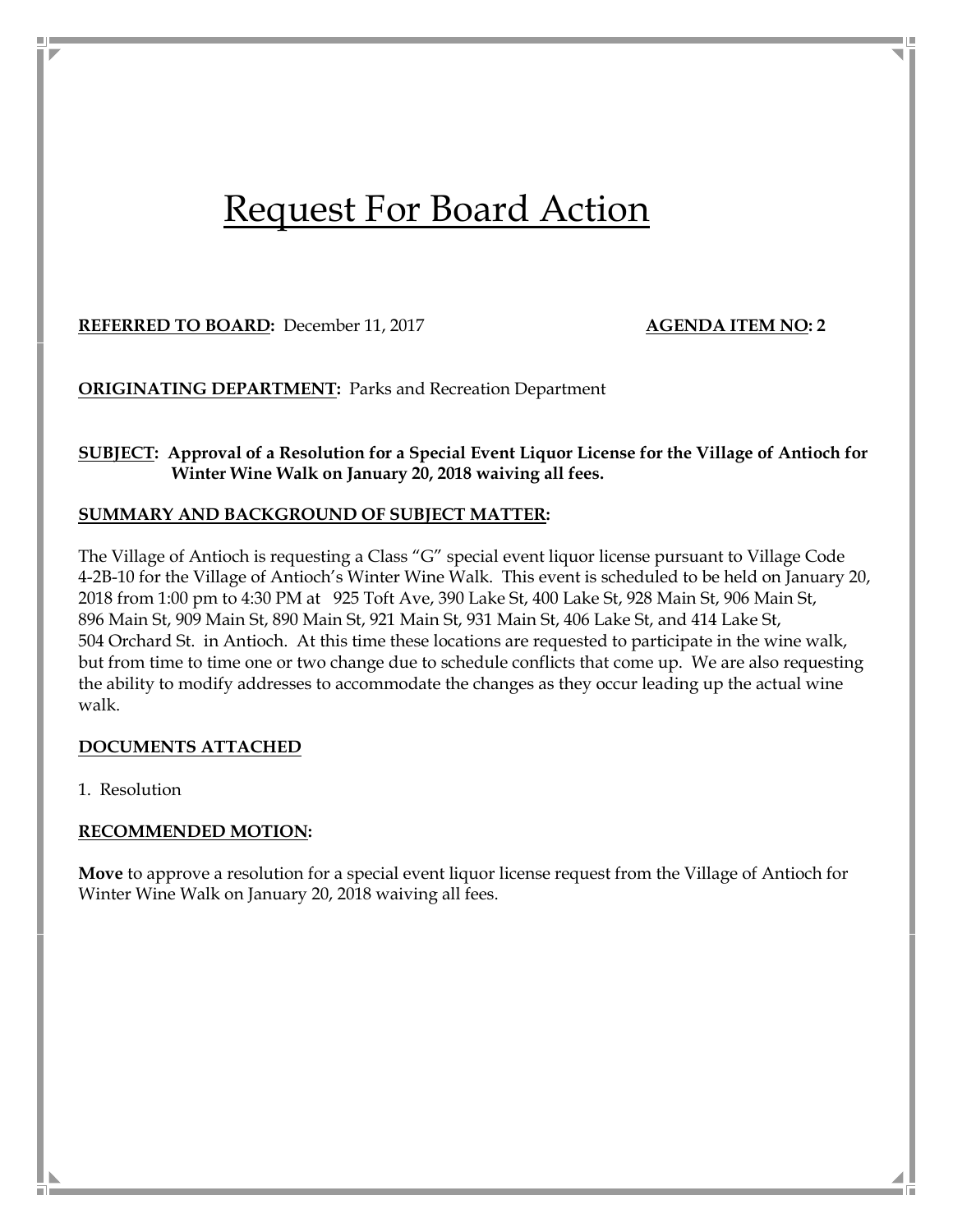# Request For Board Action

**REFERRED TO BOARD:** December 11, 2017 **AGENDA ITEM NO: 2**

**ORIGINATING DEPARTMENT:** Parks and Recreation Department

## **SUBJECT: Approval of a Resolution for a Special Event Liquor License for the Village of Antioch for Winter Wine Walk on January 20, 2018 waiving all fees.**

### **SUMMARY AND BACKGROUND OF SUBJECT MATTER:**

The Village of Antioch is requesting a Class "G" special event liquor license pursuant to Village Code 4-2B-10 for the Village of Antioch's Winter Wine Walk. This event is scheduled to be held on January 20, 2018 from 1:00 pm to 4:30 PM at 925 Toft Ave, 390 Lake St, 400 Lake St, 928 Main St, 906 Main St, 896 Main St, 909 Main St, 890 Main St, 921 Main St, 931 Main St, 406 Lake St, and 414 Lake St, 504 Orchard St. in Antioch. At this time these locations are requested to participate in the wine walk, but from time to time one or two change due to schedule conflicts that come up. We are also requesting the ability to modify addresses to accommodate the changes as they occur leading up the actual wine walk.

#### **DOCUMENTS ATTACHED**

1. Resolution

## **RECOMMENDED MOTION:**

**Move** to approve a resolution for a special event liquor license request from the Village of Antioch for Winter Wine Walk on January 20, 2018 waiving all fees.